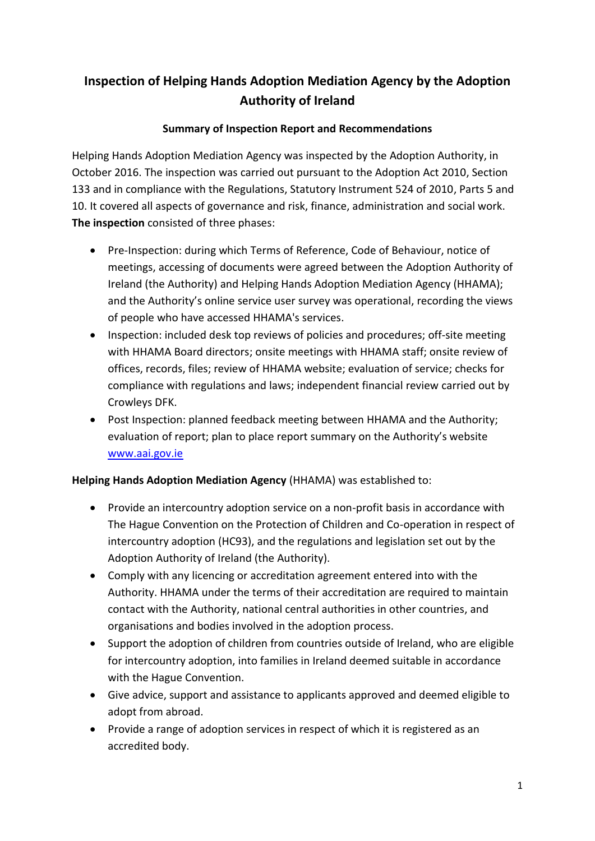# **Inspection of Helping Hands Adoption Mediation Agency by the Adoption Authority of Ireland**

### **Summary of Inspection Report and Recommendations**

Helping Hands Adoption Mediation Agency was inspected by the Adoption Authority, in October 2016. The inspection was carried out pursuant to the Adoption Act 2010, Section 133 and in compliance with the Regulations, Statutory Instrument 524 of 2010, Parts 5 and 10. It covered all aspects of governance and risk, finance, administration and social work. **The inspection** consisted of three phases:

- Pre-Inspection: during which Terms of Reference, Code of Behaviour, notice of meetings, accessing of documents were agreed between the Adoption Authority of Ireland (the Authority) and Helping Hands Adoption Mediation Agency (HHAMA); and the Authority's online service user survey was operational, recording the views of people who have accessed HHAMA's services.
- Inspection: included desk top reviews of policies and procedures; off-site meeting with HHAMA Board directors; onsite meetings with HHAMA staff; onsite review of offices, records, files; review of HHAMA website; evaluation of service; checks for compliance with regulations and laws; independent financial review carried out by Crowleys DFK.
- Post Inspection: planned feedback meeting between HHAMA and the Authority; evaluation of report; plan to place report summary on the Authority's website [www.aai.gov.ie](http://www.aai.gov.ie/)

#### **Helping Hands Adoption Mediation Agency** (HHAMA) was established to:

- Provide an intercountry adoption service on a non-profit basis in accordance with The Hague Convention on the Protection of Children and Co-operation in respect of intercountry adoption (HC93), and the regulations and legislation set out by the Adoption Authority of Ireland (the Authority).
- Comply with any licencing or accreditation agreement entered into with the Authority. HHAMA under the terms of their accreditation are required to maintain contact with the Authority, national central authorities in other countries, and organisations and bodies involved in the adoption process.
- Support the adoption of children from countries outside of Ireland, who are eligible for intercountry adoption, into families in Ireland deemed suitable in accordance with the Hague Convention.
- Give advice, support and assistance to applicants approved and deemed eligible to adopt from abroad.
- Provide a range of adoption services in respect of which it is registered as an accredited body.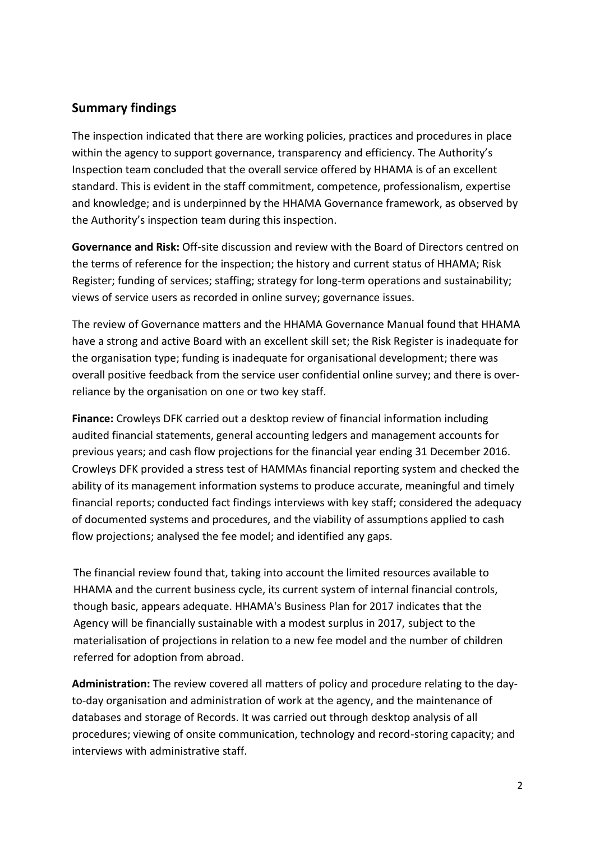## **Summary findings**

The inspection indicated that there are working policies, practices and procedures in place within the agency to support governance, transparency and efficiency. The Authority's Inspection team concluded that the overall service offered by HHAMA is of an excellent standard. This is evident in the staff commitment, competence, professionalism, expertise and knowledge; and is underpinned by the HHAMA Governance framework, as observed by the Authority's inspection team during this inspection.

**Governance and Risk:** Off-site discussion and review with the Board of Directors centred on the terms of reference for the inspection; the history and current status of HHAMA; Risk Register; funding of services; staffing; strategy for long-term operations and sustainability; views of service users as recorded in online survey; governance issues.

The review of Governance matters and the HHAMA Governance Manual found that HHAMA have a strong and active Board with an excellent skill set; the Risk Register is inadequate for the organisation type; funding is inadequate for organisational development; there was overall positive feedback from the service user confidential online survey; and there is overreliance by the organisation on one or two key staff.

**Finance:** Crowleys DFK carried out a desktop review of financial information including audited financial statements, general accounting ledgers and management accounts for previous years; and cash flow projections for the financial year ending 31 December 2016. Crowleys DFK provided a stress test of HAMMAs financial reporting system and checked the ability of its management information systems to produce accurate, meaningful and timely financial reports; conducted fact findings interviews with key staff; considered the adequacy of documented systems and procedures, and the viability of assumptions applied to cash flow projections; analysed the fee model; and identified any gaps.

The financial review found that, taking into account the limited resources available to HHAMA and the current business cycle, its current system of internal financial controls, though basic, appears adequate. HHAMA's Business Plan for 2017 indicates that the Agency will be financially sustainable with a modest surplus in 2017, subject to the materialisation of projections in relation to a new fee model and the number of children referred for adoption from abroad.

**Administration:** The review covered all matters of policy and procedure relating to the dayto-day organisation and administration of work at the agency, and the maintenance of databases and storage of Records. It was carried out through desktop analysis of all procedures; viewing of onsite communication, technology and record-storing capacity; and interviews with administrative staff.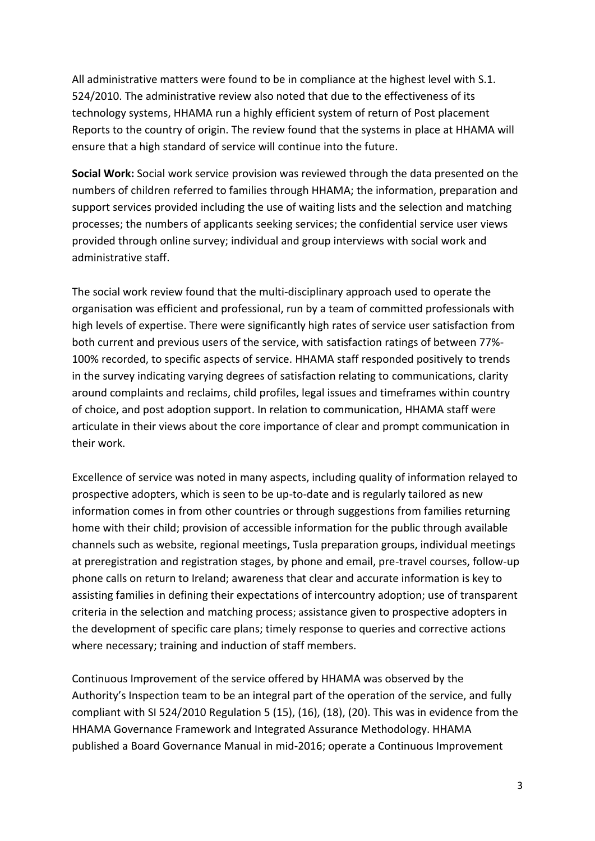All administrative matters were found to be in compliance at the highest level with S.1. 524/2010. The administrative review also noted that due to the effectiveness of its technology systems, HHAMA run a highly efficient system of return of Post placement Reports to the country of origin. The review found that the systems in place at HHAMA will ensure that a high standard of service will continue into the future.

**Social Work:** Social work service provision was reviewed through the data presented on the numbers of children referred to families through HHAMA; the information, preparation and support services provided including the use of waiting lists and the selection and matching processes; the numbers of applicants seeking services; the confidential service user views provided through online survey; individual and group interviews with social work and administrative staff.

The social work review found that the multi-disciplinary approach used to operate the organisation was efficient and professional, run by a team of committed professionals with high levels of expertise. There were significantly high rates of service user satisfaction from both current and previous users of the service, with satisfaction ratings of between 77%- 100% recorded, to specific aspects of service. HHAMA staff responded positively to trends in the survey indicating varying degrees of satisfaction relating to communications, clarity around complaints and reclaims, child profiles, legal issues and timeframes within country of choice, and post adoption support. In relation to communication, HHAMA staff were articulate in their views about the core importance of clear and prompt communication in their work.

Excellence of service was noted in many aspects, including quality of information relayed to prospective adopters, which is seen to be up-to-date and is regularly tailored as new information comes in from other countries or through suggestions from families returning home with their child; provision of accessible information for the public through available channels such as website, regional meetings, Tusla preparation groups, individual meetings at preregistration and registration stages, by phone and email, pre-travel courses, follow-up phone calls on return to Ireland; awareness that clear and accurate information is key to assisting families in defining their expectations of intercountry adoption; use of transparent criteria in the selection and matching process; assistance given to prospective adopters in the development of specific care plans; timely response to queries and corrective actions where necessary; training and induction of staff members.

Continuous Improvement of the service offered by HHAMA was observed by the Authority's Inspection team to be an integral part of the operation of the service, and fully compliant with SI 524/2010 Regulation 5 (15), (16), (18), (20). This was in evidence from the HHAMA Governance Framework and Integrated Assurance Methodology. HHAMA published a Board Governance Manual in mid-2016; operate a Continuous Improvement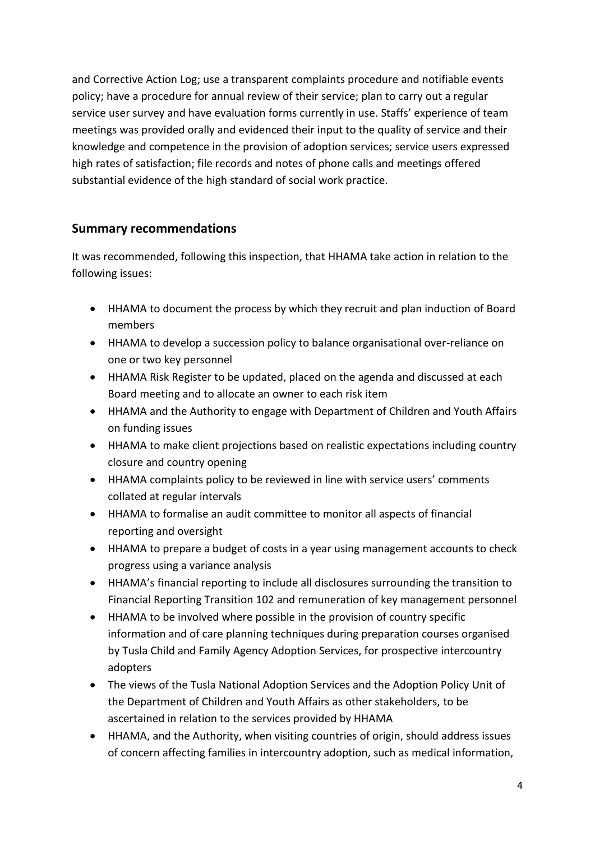and Corrective Action Log; use a transparent complaints procedure and notifiable events policy; have a procedure for annual review of their service; plan to carry out a regular service user survey and have evaluation forms currently in use. Staffs' experience of team meetings was provided orally and evidenced their input to the quality of service and their knowledge and competence in the provision of adoption services; service users expressed high rates of satisfaction; file records and notes of phone calls and meetings offered substantial evidence of the high standard of social work practice.

## **Summary recommendations**

It was recommended, following this inspection, that HHAMA take action in relation to the following issues:

- HHAMA to document the process by which they recruit and plan induction of Board members
- HHAMA to develop a succession policy to balance organisational over-reliance on one or two key personnel
- HHAMA Risk Register to be updated, placed on the agenda and discussed at each Board meeting and to allocate an owner to each risk item
- HHAMA and the Authority to engage with Department of Children and Youth Affairs on funding issues
- HHAMA to make client projections based on realistic expectations including country closure and country opening
- HHAMA complaints policy to be reviewed in line with service users' comments collated at regular intervals
- HHAMA to formalise an audit committee to monitor all aspects of financial reporting and oversight
- HHAMA to prepare a budget of costs in a year using management accounts to check progress using a variance analysis
- HHAMA's financial reporting to include all disclosures surrounding the transition to Financial Reporting Transition 102 and remuneration of key management personnel
- HHAMA to be involved where possible in the provision of country specific information and of care planning techniques during preparation courses organised by Tusla Child and Family Agency Adoption Services, for prospective intercountry adopters
- The views of the Tusla National Adoption Services and the Adoption Policy Unit of the Department of Children and Youth Affairs as other stakeholders, to be ascertained in relation to the services provided by HHAMA
- HHAMA, and the Authority, when visiting countries of origin, should address issues of concern affecting families in intercountry adoption, such as medical information,